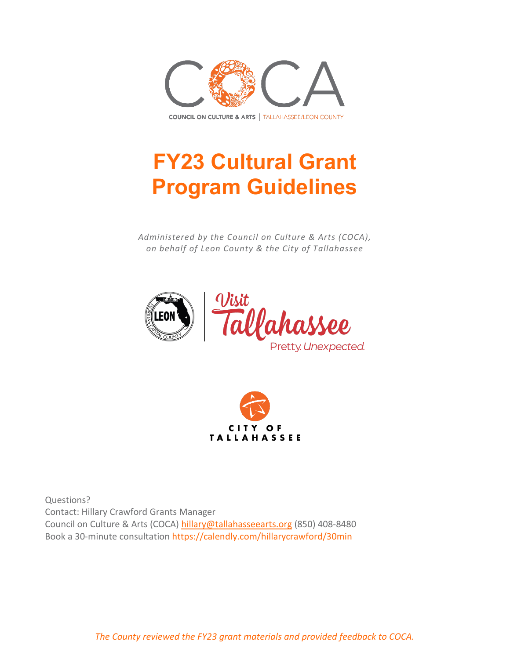

# **FY23 Cultural Grant Program Guidelines**

*Administered by the Council on Culture & Arts (COCA), on behalf of Leon County & the City of Tallahassee*





Questions? Contact: Hillary Crawford Grants Manager Council on Culture & Arts (COCA) [hillary@tallahasseearts.org](mailto:hillary@tallahasseearts.org) (850) 408-8480 Book a 30-minute consultation <https://calendly.com/hillarycrawford/30min>

*The County reviewed the FY23 grant materials and provided feedback to COCA.*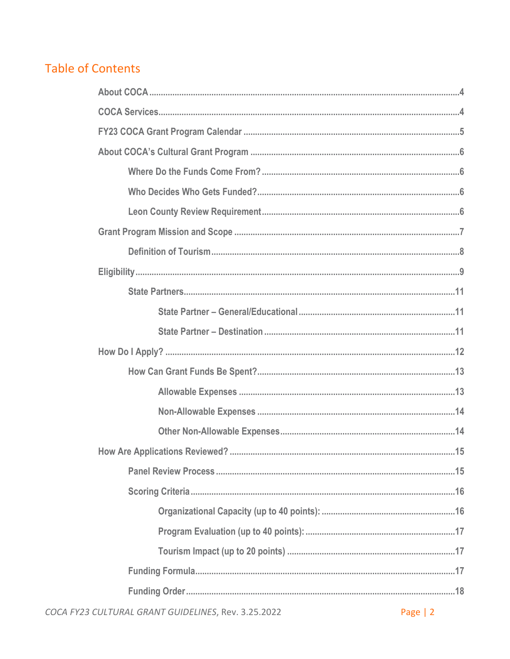# **Table of Contents**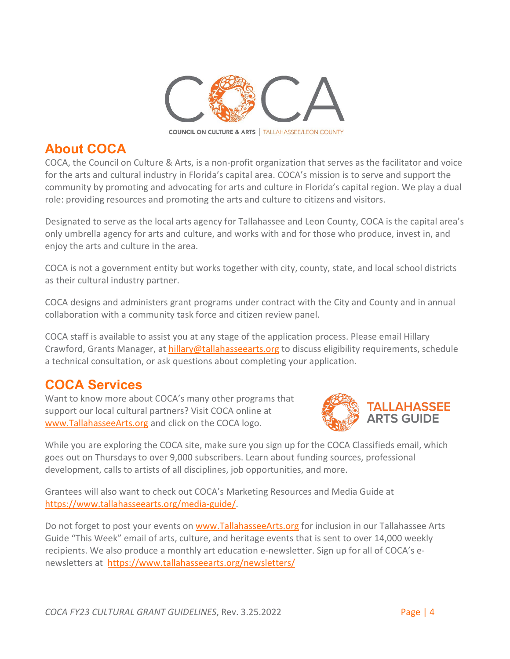

### <span id="page-3-0"></span>**About COCA**

COCA, the Council on Culture & Arts, is a non-profit organization that serves as the facilitator and voice for the arts and cultural industry in Florida's capital area. COCA's mission is to serve and support the community by promoting and advocating for arts and culture in Florida's capital region. We play a dual role: providing resources and promoting the arts and culture to citizens and visitors.

Designated to serve as the local arts agency for Tallahassee and Leon County, COCA is the capital area's only umbrella agency for arts and culture, and works with and for those who produce, invest in, and enjoy the arts and culture in the area.

COCA is not a government entity but works together with city, county, state, and local school districts as their cultural industry partner.

COCA designs and administers grant programs under contract with the City and County and in annual collaboration with a community task force and citizen review panel.

COCA staff is available to assist you at any stage of the application process. Please email Hillary Crawford, Grants Manager, at [hillary@tallahasseearts.org](mailto:hillary@tallahasseearts.org) to discuss eligibility requirements, schedule a technical consultation, or ask questions about completing your application.

# <span id="page-3-1"></span>**COCA Services**

Want to know more about COCA's many other programs that support our local cultural partners? Visit COCA online at [www.TallahasseeArts.org](https://www.tallahasseearts.org/) and click on the COCA logo.



While you are exploring the COCA site, make sure you sign up for the COCA Classifieds email, which goes out on Thursdays to over 9,000 subscribers. Learn about funding sources, professional development, calls to artists of all disciplines, job opportunities, and more.

Grantees will also want to check out COCA's Marketing Resources and Media Guide at [https://www.tallahasseearts.org/media-guide/.](https://www.tallahasseearts.org/media-guide/)

Do not forget to post your events on [www.TallahasseeArts.org](http://www.tallahasseearts.org/) for inclusion in our Tallahassee Arts Guide "This Week" email of arts, culture, and heritage events that is sent to over 14,000 weekly recipients. We also produce a monthly art education e-newsletter. Sign up for all of COCA's enewsletters at <https://www.tallahasseearts.org/newsletters/>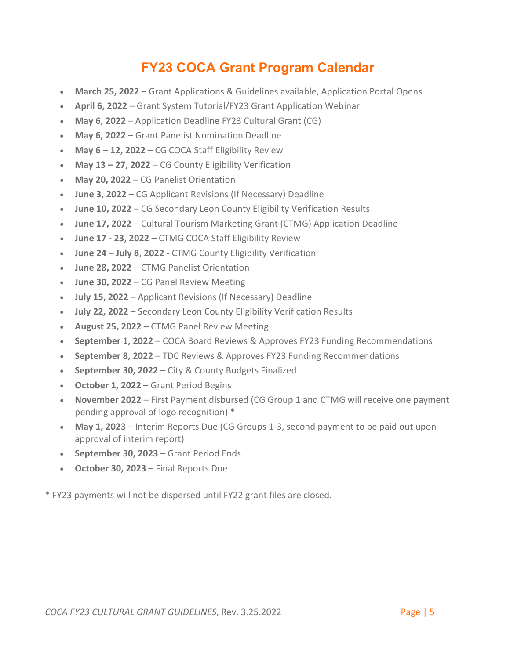# **FY23 COCA Grant Program Calendar**

- <span id="page-4-0"></span>• **March 25, 2022** – Grant Applications & Guidelines available, Application Portal Opens
- **April 6, 2022** Grant System Tutorial/FY23 Grant Application Webinar
- **May 6, 2022** Application Deadline FY23 Cultural Grant (CG)
- **May 6, 2022** Grant Panelist Nomination Deadline
- **May 6 – 12, 2022** CG COCA Staff Eligibility Review
- **May 13 – 27, 2022** CG County Eligibility Verification
- **May 20, 2022** CG Panelist Orientation
- **June 3, 2022** CG Applicant Revisions (If Necessary) Deadline
- **June 10, 2022** CG Secondary Leon County Eligibility Verification Results
- **June 17, 2022** Cultural Tourism Marketing Grant (CTMG) Application Deadline
- **June 17 - 23, 2022 –** CTMG COCA Staff Eligibility Review
- **June 24 – July 8, 2022** CTMG County Eligibility Verification
- **June 28, 2022** CTMG Panelist Orientation
- **June 30, 2022** CG Panel Review Meeting
- **July 15, 2022** Applicant Revisions (If Necessary) Deadline
- **July 22, 2022** Secondary Leon County Eligibility Verification Results
- **August 25, 2022** CTMG Panel Review Meeting
- **September 1, 2022** COCA Board Reviews & Approves FY23 Funding Recommendations
- **September 8, 2022** TDC Reviews & Approves FY23 Funding Recommendations
- **September 30, 2022** City & County Budgets Finalized
- **October 1, 2022**  Grant Period Begins
- **November 2022** First Payment disbursed (CG Group 1 and CTMG will receive one payment pending approval of logo recognition) \*
- **May 1, 2023**  Interim Reports Due (CG Groups 1-3, second payment to be paid out upon approval of interim report)
- **September 30, 2023** Grant Period Ends
- **October 30, 2023** Final Reports Due

\* FY23 payments will not be dispersed until FY22 grant files are closed.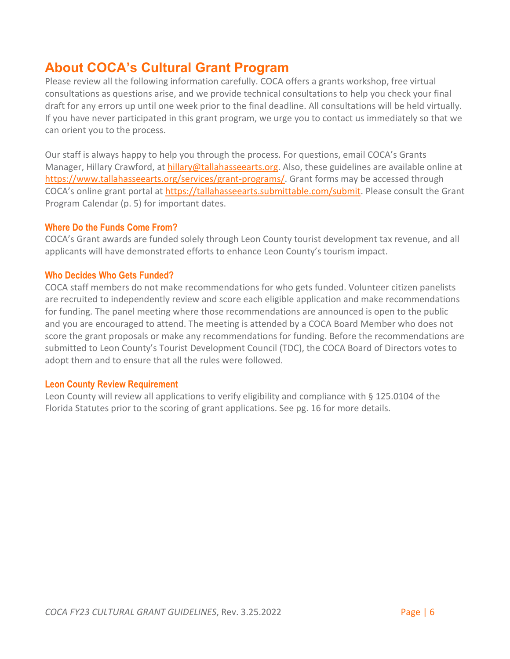### <span id="page-5-0"></span>**About COCA's Cultural Grant Program**

Please review all the following information carefully. COCA offers a grants workshop, free virtual consultations as questions arise, and we provide technical consultations to help you check your final draft for any errors up until one week prior to the final deadline. All consultations will be held virtually. If you have never participated in this grant program, we urge you to contact us immediately so that we can orient you to the process.

Our staff is always happy to help you through the process. For questions, email COCA's Grants Manager, Hillary Crawford, at [hillary@tallahasseearts.org.](mailto:hillary@tallahasseearts.org) Also, these guidelines are available online at [https://www.tallahasseearts.org/services/grant-programs/.](https://www.tallahasseearts.org/services/grant-programs/) Grant forms may be accessed through COCA's online grant portal at [https://tallahasseearts.submittable.com/submit.](https://tallahasseearts.submittable.com/submit) Please consult the Grant Program Calendar (p. 5) for important dates.

#### <span id="page-5-1"></span>**Where Do the Funds Come From?**

COCA's Grant awards are funded solely through Leon County tourist development tax revenue, and all applicants will have demonstrated efforts to enhance Leon County's tourism impact.

### <span id="page-5-2"></span>**Who Decides Who Gets Funded?**

COCA staff members do not make recommendations for who gets funded. Volunteer citizen panelists are recruited to independently review and score each eligible application and make recommendations for funding. The panel meeting where those recommendations are announced is open to the public and you are encouraged to attend. The meeting is attended by a COCA Board Member who does not score the grant proposals or make any recommendations for funding. Before the recommendations are submitted to Leon County's Tourist Development Council (TDC), the COCA Board of Directors votes to adopt them and to ensure that all the rules were followed.

#### <span id="page-5-3"></span>**Leon County Review Requirement**

Leon County will review all applications to verify eligibility and compliance with § 125.0104 of the Florida Statutes prior to the scoring of grant applications. See pg. 16 for more details.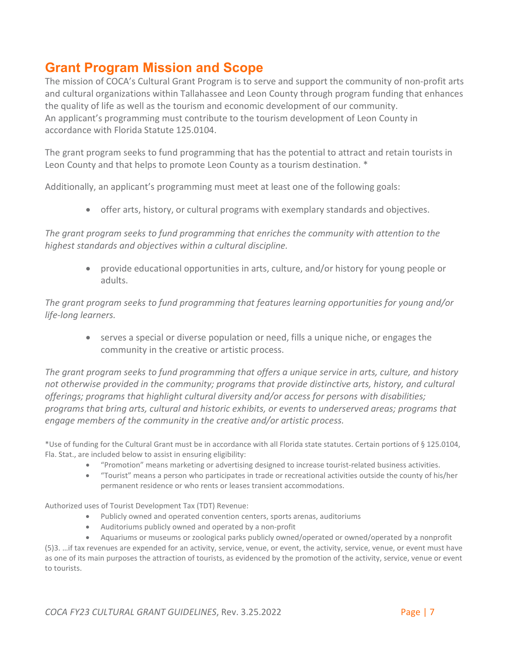### <span id="page-6-0"></span>**Grant Program Mission and Scope**

The mission of COCA's Cultural Grant Program is to serve and support the community of non-profit arts and cultural organizations within Tallahassee and Leon County through program funding that enhances the quality of life as well as the tourism and economic development of our community. An applicant's programming must contribute to the tourism development of Leon County in accordance with Florida Statute 125.0104.

The grant program seeks to fund programming that has the potential to attract and retain tourists in Leon County and that helps to promote Leon County as a tourism destination. \*

Additionally, an applicant's programming must meet at least one of the following goals:

• offer arts, history, or cultural programs with exemplary standards and objectives.

*The grant program seeks to fund programming that enriches the community with attention to the highest standards and objectives within a cultural discipline.*

> • provide educational opportunities in arts, culture, and/or history for young people or adults.

*The grant program seeks to fund programming that features learning opportunities for young and/or life-long learners.*

• serves a special or diverse population or need, fills a unique niche, or engages the community in the creative or artistic process.

*The grant program seeks to fund programming that offers a unique service in arts, culture, and history not otherwise provided in the community; programs that provide distinctive arts, history, and cultural offerings; programs that highlight cultural diversity and/or access for persons with disabilities; programs that bring arts, cultural and historic exhibits, or events to underserved areas; programs that engage members of the community in the creative and/or artistic process.*

\*Use of funding for the Cultural Grant must be in accordance with all Florida state statutes. Certain portions of § 125.0104, Fla. Stat., are included below to assist in ensuring eligibility:

- "Promotion" means marketing or advertising designed to increase tourist-related business activities.
- "Tourist" means a person who participates in trade or recreational activities outside the county of his/her permanent residence or who rents or leases transient accommodations.

Authorized uses of Tourist Development Tax (TDT) Revenue:

- Publicly owned and operated convention centers, sports arenas, auditoriums
- Auditoriums publicly owned and operated by a non-profit

• Aquariums or museums or zoological parks publicly owned/operated or owned/operated by a nonprofit (5)3. …if tax revenues are expended for an activity, service, venue, or event, the activity, service, venue, or event must have as one of its main purposes the attraction of tourists, as evidenced by the promotion of the activity, service, venue or event to tourists.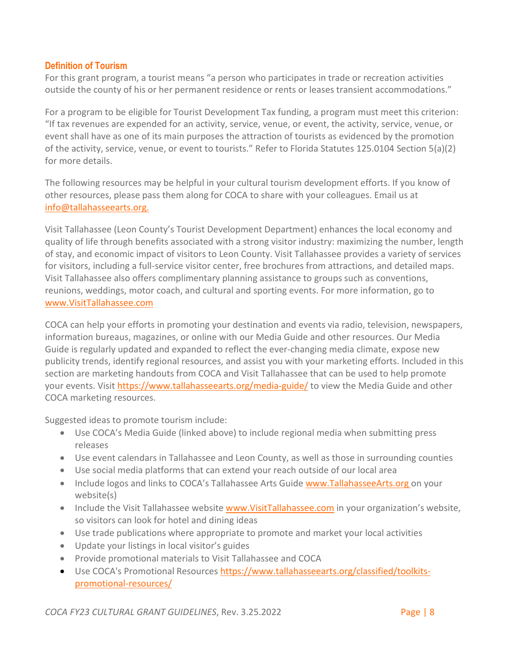#### <span id="page-7-0"></span>**Definition of Tourism**

For this grant program, a tourist means "a person who participates in trade or recreation activities outside the county of his or her permanent residence or rents or leases transient accommodations."

For a program to be eligible for Tourist Development Tax funding, a program must meet this criterion: "If tax revenues are expended for an activity, service, venue, or event, the activity, service, venue, or event shall have as one of its main purposes the attraction of tourists as evidenced by the promotion of the activity, service, venue, or event to tourists." Refer to Florida Statutes 125.0104 Section 5(a)(2) for more details.

The following resources may be helpful in your cultural tourism development efforts. If you know of other resources, please pass them along for COCA to share with your colleagues. Email us at [info@tallahasseearts.org.](mailto:info@tallahasseearts.org)

Visit Tallahassee (Leon County's Tourist Development Department) enhances the local economy and quality of life through benefits associated with a strong visitor industry: maximizing the number, length of stay, and economic impact of visitors to Leon County. Visit Tallahassee provides a variety of services for visitors, including a full-service visitor center, free brochures from attractions, and detailed maps. Visit Tallahassee also offers complimentary planning assistance to groups such as conventions, reunions, weddings, motor coach, and cultural and sporting events. For more information, go to [www.VisitTallahassee.com](http://www.visittallahassee.com/)

COCA can help your efforts in promoting your destination and events via radio, television, newspapers, information bureaus, magazines, or online with our Media Guide and other resources. Our Media Guide is regularly updated and expanded to reflect the ever-changing media climate, expose new publicity trends, identify regional resources, and assist you with your marketing efforts. Included in this section are marketing handouts from COCA and Visit Tallahassee that can be used to help promote your events. Visit<https://www.tallahasseearts.org/media-guide/> to view the Media Guide and other COCA marketing resources.

Suggested ideas to promote tourism include:

- Use COCA's Media Guide (linked above) to include regional media when submitting press releases
- Use event calendars in Tallahassee and Leon County, as well as those in surrounding counties
- Use social media platforms that can extend your reach outside of our local area
- Include logos and links to COCA's Tallahassee Arts Guide [www.TallahasseeArts.org o](http://www.tallahasseearts.org/)n your website(s)
- Include the Visit Tallahassee website [www.VisitTallahassee.com](http://www.visittallahassee.com/) in your organization's website, so visitors can look for hotel and dining ideas
- Use trade publications where appropriate to promote and market your local activities
- Update your listings in local visitor's guides
- Provide promotional materials to Visit Tallahassee and COCA
- Use COCA's Promotional Resources [https://www.tallahasseearts.org/classified/toolkits](https://www.tallahasseearts.org/classified/toolkits-promotional-resources/)[promotional-resources/](https://www.tallahasseearts.org/classified/toolkits-promotional-resources/)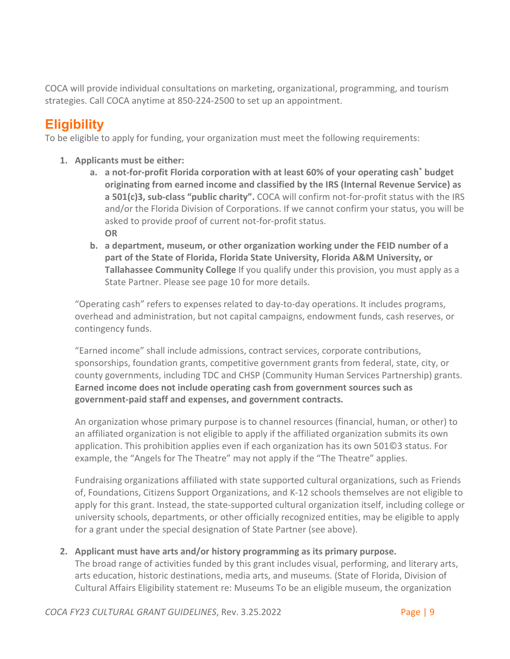COCA will provide individual consultations on marketing, organizational, programming, and tourism strategies. Call COCA anytime at 850-224-2500 to set up an appointment.

# <span id="page-8-0"></span>**Eligibility**

To be eligible to apply for funding, your organization must meet the following requirements:

- **1. Applicants must be either:** 
	- **a. a not-for-profit Florida corporation with at least 60% of your operating cash\* budget originating from earned income and classified by the IRS (Internal Revenue Service) as a 501(c)3, sub-class "public charity".** COCA will confirm not-for-profit status with the IRS and/or the Florida Division of Corporations. If we cannot confirm your status, you will be asked to provide proof of current not-for-profit status. **OR**
	- **b. a department, museum, or other organization working under the FEID number of a part of the State of Florida, Florida State University, Florida A&M University, or Tallahassee Community College** If you qualify under this provision, you must apply as a State Partner. Please see page 10 for more details.

"Operating cash" refers to expenses related to day-to-day operations. It includes programs, overhead and administration, but not capital campaigns, endowment funds, cash reserves, or contingency funds.

"Earned income" shall include admissions, contract services, corporate contributions, sponsorships, foundation grants, competitive government grants from federal, state, city, or county governments, including TDC and CHSP (Community Human Services Partnership) grants. **Earned income does not include operating cash from government sources such as government-paid staff and expenses, and government contracts.**

An organization whose primary purpose is to channel resources (financial, human, or other) to an affiliated organization is not eligible to apply if the affiliated organization submits its own application. This prohibition applies even if each organization has its own 501©3 status. For example, the "Angels for The Theatre" may not apply if the "The Theatre" applies.

Fundraising organizations affiliated with state supported cultural organizations, such as Friends of, Foundations, Citizens Support Organizations, and K-12 schools themselves are not eligible to apply for this grant. Instead, the state-supported cultural organization itself, including college or university schools, departments, or other officially recognized entities, may be eligible to apply for a grant under the special designation of State Partner (see above).

#### **2. Applicant must have arts and/or history programming as its primary purpose.**

The broad range of activities funded by this grant includes visual, performing, and literary arts, arts education, historic destinations, media arts, and museums. (State of Florida, Division of Cultural Affairs Eligibility statement re: Museums To be an eligible museum, the organization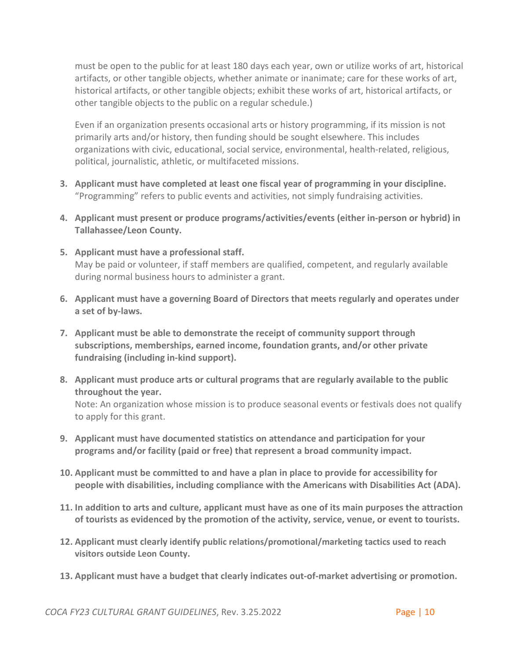must be open to the public for at least 180 days each year, own or utilize works of art, historical artifacts, or other tangible objects, whether animate or inanimate; care for these works of art, historical artifacts, or other tangible objects; exhibit these works of art, historical artifacts, or other tangible objects to the public on a regular schedule.)

Even if an organization presents occasional arts or history programming, if its mission is not primarily arts and/or history, then funding should be sought elsewhere. This includes organizations with civic, educational, social service, environmental, health-related, religious, political, journalistic, athletic, or multifaceted missions.

- **3. Applicant must have completed at least one fiscal year of programming in your discipline.** "Programming" refers to public events and activities, not simply fundraising activities.
- **4. Applicant must present or produce programs/activities/events (either in-person or hybrid) in Tallahassee/Leon County.**
- **5. Applicant must have a professional staff.** May be paid or volunteer, if staff members are qualified, competent, and regularly available during normal business hours to administer a grant.
- **6. Applicant must have a governing Board of Directors that meets regularly and operates under a set of by-laws.**
- **7. Applicant must be able to demonstrate the receipt of community support through subscriptions, memberships, earned income, foundation grants, and/or other private fundraising (including in-kind support).**
- **8. Applicant must produce arts or cultural programs that are regularly available to the public throughout the year.** Note: An organization whose mission is to produce seasonal events or festivals does not qualify to apply for this grant.
- **9. Applicant must have documented statistics on attendance and participation for your programs and/or facility (paid or free) that represent a broad community impact.**
- **10. Applicant must be committed to and have a plan in place to provide for accessibility for people with disabilities, including compliance with the Americans with Disabilities Act (ADA).**
- **11. In addition to arts and culture, applicant must have as one of its main purposes the attraction of tourists as evidenced by the promotion of the activity, service, venue, or event to tourists.**
- **12. Applicant must clearly identify public relations/promotional/marketing tactics used to reach visitors outside Leon County.**
- **13. Applicant must have a budget that clearly indicates out-of-market advertising or promotion.**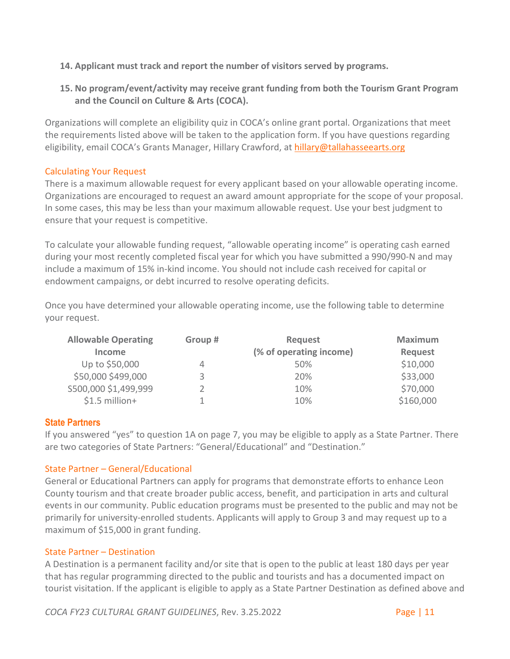- **14. Applicant must track and report the number of visitors served by programs.**
- **15. No program/event/activity may receive grant funding from both the Tourism Grant Program and the Council on Culture & Arts (COCA).**

Organizations will complete an eligibility quiz in COCA's online grant portal. Organizations that meet the requirements listed above will be taken to the application form. If you have questions regarding eligibility, email COCA's Grants Manager, Hillary Crawford, at [hillary@tallahasseearts.org](mailto:hillary@tallahasseearts.org)

#### Calculating Your Request

There is a maximum allowable request for every applicant based on your allowable operating income. Organizations are encouraged to request an award amount appropriate for the scope of your proposal. In some cases, this may be less than your maximum allowable request. Use your best judgment to ensure that your request is competitive.

To calculate your allowable funding request, "allowable operating income" is operating cash earned during your most recently completed fiscal year for which you have submitted a 990/990-N and may include a maximum of 15% in-kind income. You should not include cash received for capital or endowment campaigns, or debt incurred to resolve operating deficits.

Once you have determined your allowable operating income, use the following table to determine your request.

| <b>Allowable Operating</b> | Group # | Request                 | <b>Maximum</b> |
|----------------------------|---------|-------------------------|----------------|
| <b>Income</b>              |         | (% of operating income) | <b>Request</b> |
| Up to \$50,000             |         | 50%                     | \$10,000       |
| \$50,000 \$499,000         |         | 20%                     | \$33,000       |
| \$500,000 \$1,499,999      |         | 10%                     | \$70,000       |
| $$1.5$ million+            |         | 10%                     | \$160,000      |

#### <span id="page-10-0"></span>**State Partners**

If you answered "yes" to question 1A on page 7, you may be eligible to apply as a State Partner. There are two categories of State Partners: "General/Educational" and "Destination."

#### <span id="page-10-1"></span>State Partner – General/Educational

General or Educational Partners can apply for programs that demonstrate efforts to enhance Leon County tourism and that create broader public access, benefit, and participation in arts and cultural events in our community. Public education programs must be presented to the public and may not be primarily for university-enrolled students. Applicants will apply to Group 3 and may request up to a maximum of \$15,000 in grant funding.

#### <span id="page-10-2"></span>State Partner – Destination

A Destination is a permanent facility and/or site that is open to the public at least 180 days per year that has regular programming directed to the public and tourists and has a documented impact on tourist visitation. If the applicant is eligible to apply as a State Partner Destination as defined above and

*COCA FY23 CULTURAL GRANT GUIDELINES*, Rev. 3.25.2022 Page | 11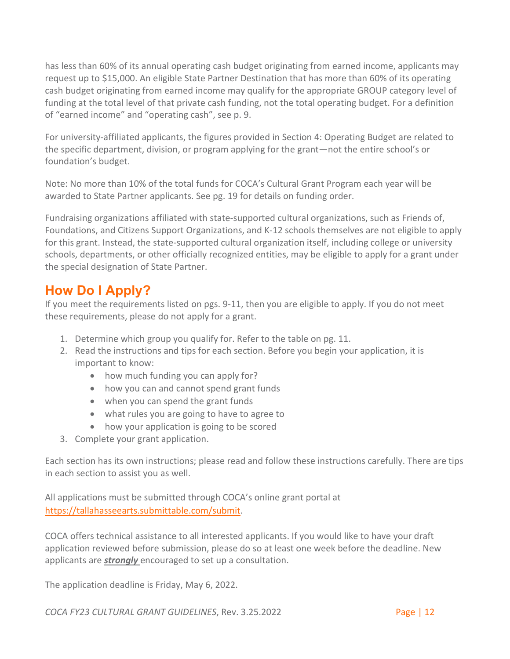has less than 60% of its annual operating cash budget originating from earned income, applicants may request up to \$15,000. An eligible State Partner Destination that has more than 60% of its operating cash budget originating from earned income may qualify for the appropriate GROUP category level of funding at the total level of that private cash funding, not the total operating budget. For a definition of "earned income" and "operating cash", see p. 9.

For university-affiliated applicants, the figures provided in Section 4: Operating Budget are related to the specific department, division, or program applying for the grant—not the entire school's or foundation's budget.

Note: No more than 10% of the total funds for COCA's Cultural Grant Program each year will be awarded to State Partner applicants. See pg. 19 for details on funding order.

Fundraising organizations affiliated with state-supported cultural organizations, such as Friends of, Foundations, and Citizens Support Organizations, and K-12 schools themselves are not eligible to apply for this grant. Instead, the state-supported cultural organization itself, including college or university schools, departments, or other officially recognized entities, may be eligible to apply for a grant under the special designation of State Partner.

### <span id="page-11-0"></span>**How Do I Apply?**

If you meet the requirements listed on pgs. 9-11, then you are eligible to apply. If you do not meet these requirements, please do not apply for a grant.

- 1. Determine which group you qualify for. Refer to the table on pg. 11.
- 2. Read the instructions and tips for each section. Before you begin your application, it is important to know:
	- how much funding you can apply for?
	- how you can and cannot spend grant funds
	- when you can spend the grant funds
	- what rules you are going to have to agree to
	- how your application is going to be scored
- 3. Complete your grant application.

Each section has its own instructions; please read and follow these instructions carefully. There are tips in each section to assist you as well.

All applications must be submitted through COCA's online grant portal at [https://tallahasseearts.submittable.com/submit.](https://tallahasseearts.submittable.com/submit)

COCA offers technical assistance to all interested applicants. If you would like to have your draft application reviewed before submission, please do so at least one week before the deadline. New applicants are *strongly* encouraged to set up a consultation.

The application deadline is Friday, May 6, 2022.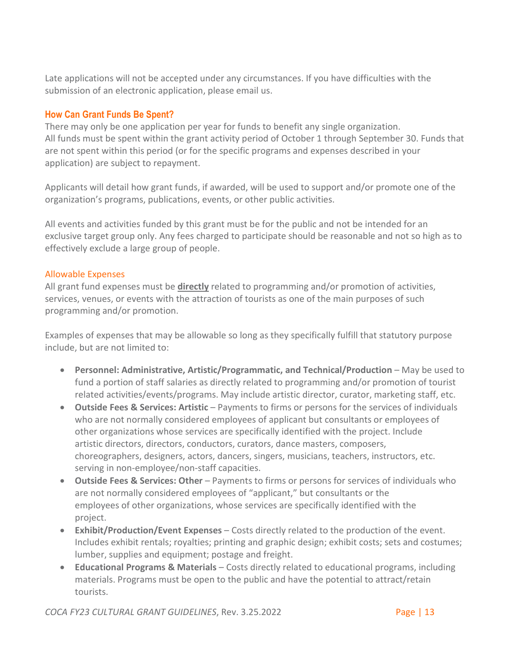Late applications will not be accepted under any circumstances. If you have difficulties with the submission of an electronic application, please email us.

#### <span id="page-12-0"></span>**How Can Grant Funds Be Spent?**

There may only be one application per year for funds to benefit any single organization. All funds must be spent within the grant activity period of October 1 through September 30. Funds that are not spent within this period (or for the specific programs and expenses described in your application) are subject to repayment.

Applicants will detail how grant funds, if awarded, will be used to support and/or promote one of the organization's programs, publications, events, or other public activities.

All events and activities funded by this grant must be for the public and not be intended for an exclusive target group only. Any fees charged to participate should be reasonable and not so high as to effectively exclude a large group of people.

#### <span id="page-12-1"></span>Allowable Expenses

All grant fund expenses must be **directly** related to programming and/or promotion of activities, services, venues, or events with the attraction of tourists as one of the main purposes of such programming and/or promotion.

Examples of expenses that may be allowable so long as they specifically fulfill that statutory purpose include, but are not limited to:

- **Personnel: Administrative, Artistic/Programmatic, and Technical/Production May be used to** fund a portion of staff salaries as directly related to programming and/or promotion of tourist related activities/events/programs. May include artistic director, curator, marketing staff, etc.
- **Outside Fees & Services: Artistic** Payments to firms or persons for the services of individuals who are not normally considered employees of applicant but consultants or employees of other organizations whose services are specifically identified with the project. Include artistic directors, directors, conductors, curators, dance masters, composers, choreographers, designers, actors, dancers, singers, musicians, teachers, instructors, etc. serving in non-employee/non-staff capacities.
- **Outside Fees & Services: Other** Payments to firms or persons for services of individuals who are not normally considered employees of "applicant," but consultants or the employees of other organizations, whose services are specifically identified with the project.
- **Exhibit/Production/Event Expenses** Costs directly related to the production of the event. Includes exhibit rentals; royalties; printing and graphic design; exhibit costs; sets and costumes; lumber, supplies and equipment; postage and freight.
- **Educational Programs & Materials**  Costs directly related to educational programs, including materials. Programs must be open to the public and have the potential to attract/retain tourists.

*COCA FY23 CULTURAL GRANT GUIDELINES*, Rev. 3.25.2022 Page | 13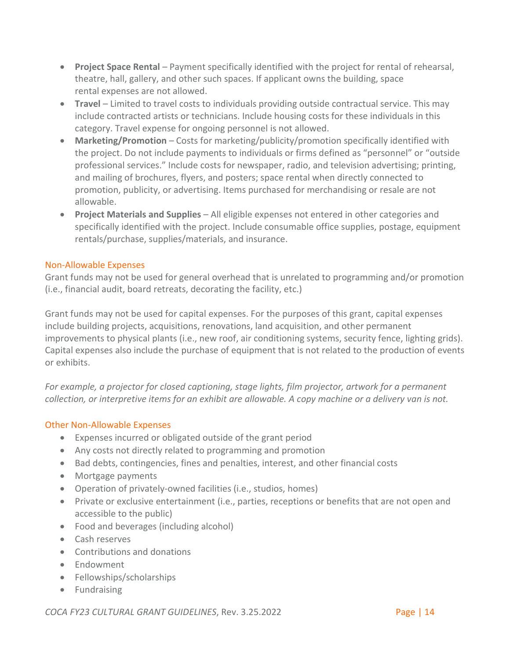- **Project Space Rental** Payment specifically identified with the project for rental of rehearsal, theatre, hall, gallery, and other such spaces. If applicant owns the building, space rental expenses are not allowed.
- **Travel** Limited to travel costs to individuals providing outside contractual service. This may include contracted artists or technicians. Include housing costs for these individuals in this category. Travel expense for ongoing personnel is not allowed.
- Marketing/Promotion Costs for marketing/publicity/promotion specifically identified with the project. Do not include payments to individuals or firms defined as "personnel" or "outside professional services." Include costs for newspaper, radio, and television advertising; printing, and mailing of brochures, flyers, and posters; space rental when directly connected to promotion, publicity, or advertising. Items purchased for merchandising or resale are not allowable.
- **Project Materials and Supplies** All eligible expenses not entered in other categories and specifically identified with the project. Include consumable office supplies, postage, equipment rentals/purchase, supplies/materials, and insurance.

#### <span id="page-13-0"></span>Non-Allowable Expenses

Grant funds may not be used for general overhead that is unrelated to programming and/or promotion (i.e., financial audit, board retreats, decorating the facility, etc.)

Grant funds may not be used for capital expenses. For the purposes of this grant, capital expenses include building projects, acquisitions, renovations, land acquisition, and other permanent improvements to physical plants (i.e., new roof, air conditioning systems, security fence, lighting grids). Capital expenses also include the purchase of equipment that is not related to the production of events or exhibits.

*For example, a projector for closed captioning, stage lights, film projector, artwork for a permanent collection, or interpretive items for an exhibit are allowable. A copy machine or a delivery van is not.*

#### <span id="page-13-1"></span>Other Non-Allowable Expenses

- Expenses incurred or obligated outside of the grant period
- Any costs not directly related to programming and promotion
- Bad debts, contingencies, fines and penalties, interest, and other financial costs
- Mortgage payments
- Operation of privately-owned facilities (i.e., studios, homes)
- Private or exclusive entertainment (i.e., parties, receptions or benefits that are not open and accessible to the public)
- Food and beverages (including alcohol)
- Cash reserves
- Contributions and donations
- Endowment
- Fellowships/scholarships
- Fundraising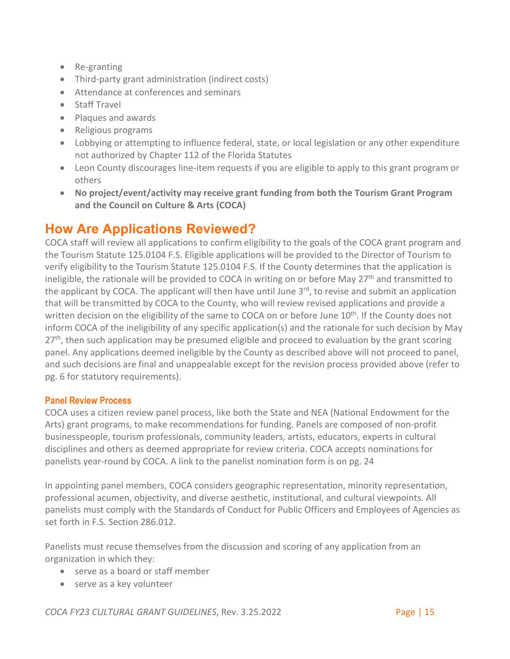- Re-granting
- Third-party grant administration (indirect costs)
- Attendance at conferences and seminars
- Staff Travel
- Plaques and awards
- Religious programs
- Lobbying or attempting to influence federal, state, or local legislation or any other expenditure not authorized by Chapter 112 of the Florida Statutes
- Leon County discourages line-item requests if you are eligible to apply to this grant program or others
- **No project/event/activity may receive grant funding from both the Tourism Grant Program and the Council on Culture & Arts (COCA)**

### <span id="page-14-0"></span>**How Are Applications Reviewed?**

COCA staff will review all applications to confirm eligibility to the goals of the COCA grant program and the Tourism Statute 125.0104 F.S. Eligible applications will be provided to the Director of Tourism to verify eligibility to the Tourism Statute 125.0104 F.S. If the County determines that the application is ineligible, the rationale will be provided to COCA in writing on or before May 27<sup>th</sup> and transmitted to the applicant by COCA. The applicant will then have until June  $3<sup>rd</sup>$ , to revise and submit an application that will be transmitted by COCA to the County, who will review revised applications and provide a written decision on the eligibility of the same to COCA on or before June 10<sup>th</sup>. If the County does not inform COCA of the ineligibility of any specific application(s) and the rationale for such decision by May  $27<sup>th</sup>$ , then such application may be presumed eligible and proceed to evaluation by the grant scoring panel. Any applications deemed ineligible by the County as described above will not proceed to panel, and such decisions are final and unappealable except for the revision process provided above (refer to pg. 6 for statutory requirements).

#### <span id="page-14-1"></span>**Panel Review Process**

COCA uses a citizen review panel process, like both the State and NEA (National Endowment for the Arts) grant programs, to make recommendations for funding. Panels are composed of non-profit businesspeople, tourism professionals, community leaders, artists, educators, experts in cultural disciplines and others as deemed appropriate for review criteria. COCA accepts nominations for panelists year-round by COCA. A link to the panelist nomination form is on pg. 24

In appointing panel members, COCA considers geographic representation, minority representation, professional acumen, objectivity, and diverse aesthetic, institutional, and cultural viewpoints. All panelists must comply with the Standards of Conduct for Public Officers and Employees of Agencies as set forth in F.S. Section 286.012.

Panelists must recuse themselves from the discussion and scoring of any application from an organization in which they:

- serve as a board or staff member
- serve as a key volunteer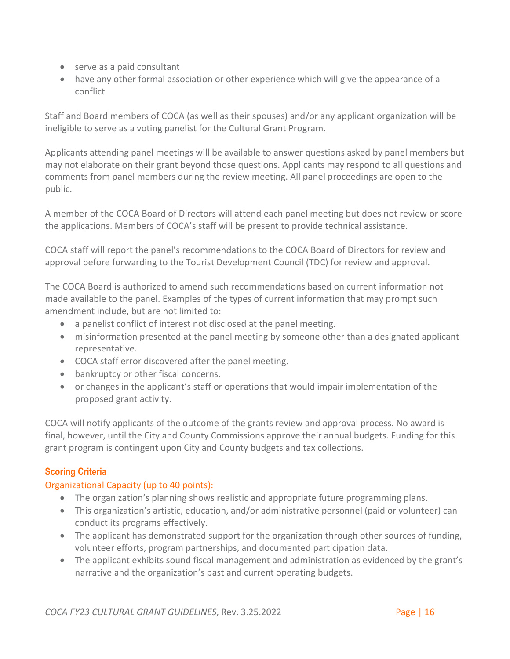- serve as a paid consultant
- have any other formal association or other experience which will give the appearance of a conflict

Staff and Board members of COCA (as well as their spouses) and/or any applicant organization will be ineligible to serve as a voting panelist for the Cultural Grant Program.

Applicants attending panel meetings will be available to answer questions asked by panel members but may not elaborate on their grant beyond those questions. Applicants may respond to all questions and comments from panel members during the review meeting. All panel proceedings are open to the public.

A member of the COCA Board of Directors will attend each panel meeting but does not review or score the applications. Members of COCA's staff will be present to provide technical assistance.

COCA staff will report the panel's recommendations to the COCA Board of Directors for review and approval before forwarding to the Tourist Development Council (TDC) for review and approval.

The COCA Board is authorized to amend such recommendations based on current information not made available to the panel. Examples of the types of current information that may prompt such amendment include, but are not limited to:

- a panelist conflict of interest not disclosed at the panel meeting.
- misinformation presented at the panel meeting by someone other than a designated applicant representative.
- COCA staff error discovered after the panel meeting.
- bankruptcy or other fiscal concerns.
- or changes in the applicant's staff or operations that would impair implementation of the proposed grant activity.

COCA will notify applicants of the outcome of the grants review and approval process. No award is final, however, until the City and County Commissions approve their annual budgets. Funding for this grant program is contingent upon City and County budgets and tax collections.

### <span id="page-15-0"></span>**Scoring Criteria**

#### <span id="page-15-1"></span>Organizational Capacity (up to 40 points):

- The organization's planning shows realistic and appropriate future programming plans.
- This organization's artistic, education, and/or administrative personnel (paid or volunteer) can conduct its programs effectively.
- The applicant has demonstrated support for the organization through other sources of funding, volunteer efforts, program partnerships, and documented participation data.
- The applicant exhibits sound fiscal management and administration as evidenced by the grant's narrative and the organization's past and current operating budgets.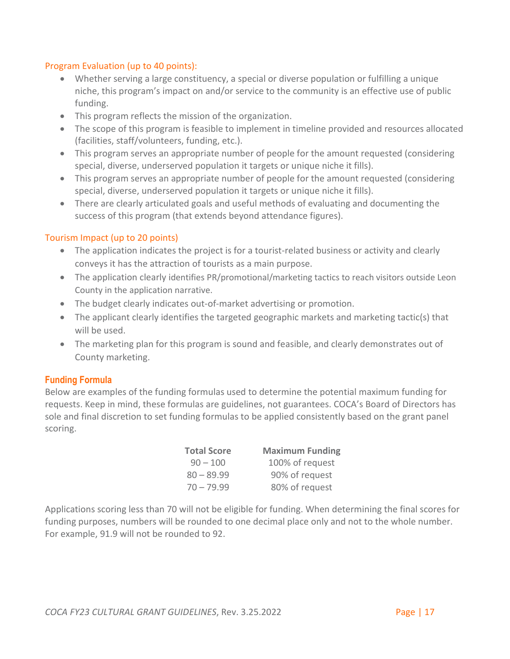#### <span id="page-16-0"></span>Program Evaluation (up to 40 points):

- Whether serving a large constituency, a special or diverse population or fulfilling a unique niche, this program's impact on and/or service to the community is an effective use of public funding.
- This program reflects the mission of the organization.
- The scope of this program is feasible to implement in timeline provided and resources allocated (facilities, staff/volunteers, funding, etc.).
- This program serves an appropriate number of people for the amount requested (considering special, diverse, underserved population it targets or unique niche it fills).
- This program serves an appropriate number of people for the amount requested (considering special, diverse, underserved population it targets or unique niche it fills).
- There are clearly articulated goals and useful methods of evaluating and documenting the success of this program (that extends beyond attendance figures).

#### <span id="page-16-1"></span>Tourism Impact (up to 20 points)

- The application indicates the project is for a tourist-related business or activity and clearly conveys it has the attraction of tourists as a main purpose.
- The application clearly identifies PR/promotional/marketing tactics to reach visitors outside Leon County in the application narrative.
- The budget clearly indicates out-of-market advertising or promotion.
- The applicant clearly identifies the targeted geographic markets and marketing tactic(s) that will be used.
- The marketing plan for this program is sound and feasible, and clearly demonstrates out of County marketing.

#### <span id="page-16-2"></span>**Funding Formula**

Below are examples of the funding formulas used to determine the potential maximum funding for requests. Keep in mind, these formulas are guidelines, not guarantees. COCA's Board of Directors has sole and final discretion to set funding formulas to be applied consistently based on the grant panel scoring.

| <b>Total Score</b> | <b>Maximum Funding</b> |
|--------------------|------------------------|
| $90 - 100$         | 100% of request        |
| $80 - 89.99$       | 90% of request         |
| $70 - 79.99$       | 80% of request         |

Applications scoring less than 70 will not be eligible for funding. When determining the final scores for funding purposes, numbers will be rounded to one decimal place only and not to the whole number. For example, 91.9 will not be rounded to 92.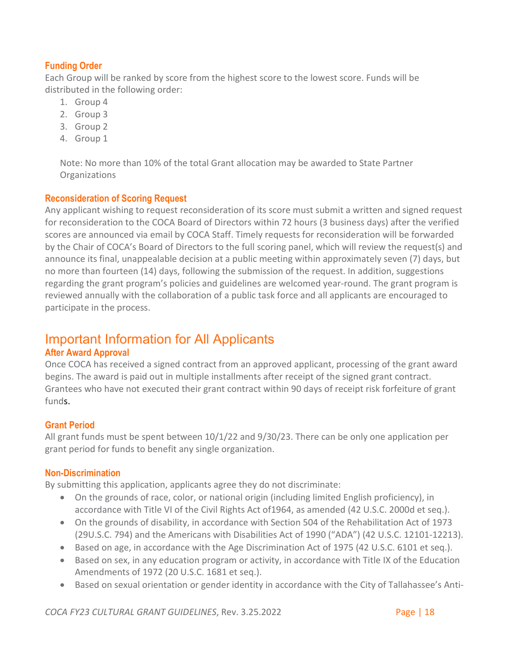#### <span id="page-17-0"></span>**Funding Order**

Each Group will be ranked by score from the highest score to the lowest score. Funds will be distributed in the following order:

- 1. Group 4
- 2. Group 3
- 3. Group 2
- 4. Group 1

Note: No more than 10% of the total Grant allocation may be awarded to State Partner **Organizations** 

#### <span id="page-17-1"></span>**Reconsideration of Scoring Request**

Any applicant wishing to request reconsideration of its score must submit a written and signed request for reconsideration to the COCA Board of Directors within 72 hours (3 business days) after the verified scores are announced via email by COCA Staff. Timely requests for reconsideration will be forwarded by the Chair of COCA's Board of Directors to the full scoring panel, which will review the request(s) and announce its final, unappealable decision at a public meeting within approximately seven (7) days, but no more than fourteen (14) days, following the submission of the request. In addition, suggestions regarding the grant program's policies and guidelines are welcomed year-round. The grant program is reviewed annually with the collaboration of a public task force and all applicants are encouraged to participate in the process.

### <span id="page-17-2"></span>Important Information for All Applicants

#### <span id="page-17-3"></span>**After Award Approval**

Once COCA has received a signed contract from an approved applicant, processing of the grant award begins. The award is paid out in multiple installments after receipt of the signed grant contract. Grantees who have not executed their grant contract within 90 days of receipt risk forfeiture of grant funds.

#### <span id="page-17-4"></span>**Grant Period**

All grant funds must be spent between 10/1/22 and 9/30/23. There can be only one application per grant period for funds to benefit any single organization.

#### <span id="page-17-5"></span>**Non-Discrimination**

By submitting this application, applicants agree they do not discriminate:

- On the grounds of race, color, or national origin (including limited English proficiency), in accordance with Title VI of the Civil Rights Act of1964, as amended (42 U.S.C. 2000d et seq.).
- On the grounds of disability, in accordance with Section 504 of the Rehabilitation Act of 1973 (29U.S.C. 794) and the Americans with Disabilities Act of 1990 ("ADA") (42 U.S.C. 12101-12213).
- Based on age, in accordance with the Age Discrimination Act of 1975 (42 U.S.C. 6101 et seq.).
- Based on sex, in any education program or activity, in accordance with Title IX of the Education Amendments of 1972 (20 U.S.C. 1681 et seq.).
- Based on sexual orientation or gender identity in accordance with the City of Tallahassee's Anti-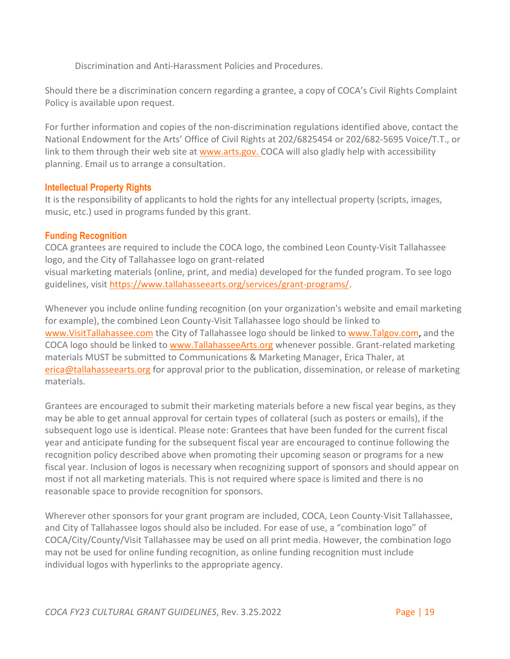Discrimination and Anti-Harassment Policies and Procedures.

Should there be a discrimination concern regarding a grantee, a copy of COCA's Civil Rights Complaint Policy is available upon request.

For further information and copies of the non-discrimination regulations identified above, contact the National Endowment for the Arts' Office of Civil Rights at 202/6825454 or 202/682-5695 Voice/T.T., or link to them through their web site at [www.arts.gov. C](http://www.arts.gov/)OCA will also gladly help with accessibility planning. Email us to arrange a consultation.

#### <span id="page-18-0"></span>**Intellectual Property Rights**

It is the responsibility of applicants to hold the rights for any intellectual property (scripts, images, music, etc.) used in programs funded by this grant.

#### <span id="page-18-1"></span>**Funding Recognition**

COCA grantees are required to include the COCA logo, the combined Leon County-Visit Tallahassee logo, and the City of Tallahassee logo on grant-related visual marketing materials (online, print, and media) developed for the funded program. To see logo guidelines, visit [https://www.tallahasseearts.org/services/grant-programs/.](https://www.tallahasseearts.org/services/grant-programs/)

Whenever you include online funding recognition (on your organization's website and email marketing for example), the combined Leon County-Visit Tallahassee logo should be linked to [www.VisitTallahassee.com](http://www.visittallahassee.com/) the City of Tallahassee logo should be linked to [www.Talgov.com,](http://www.talgov.com/) and the COCA logo should be linked to [www.TallahasseeArts.org](http://www.tallahasseearts.org/) whenever possible. Grant-related marketing materials MUST be submitted to Communications & Marketing Manager, Erica Thaler, at [erica@tallahasseearts.org](mailto:erica@tallahasseearts.org) for approval prior to the publication, dissemination, or release of marketing materials.

Grantees are encouraged to submit their marketing materials before a new fiscal year begins, as they may be able to get annual approval for certain types of collateral (such as posters or emails), if the subsequent logo use is identical. Please note: Grantees that have been funded for the current fiscal year and anticipate funding for the subsequent fiscal year are encouraged to continue following the recognition policy described above when promoting their upcoming season or programs for a new fiscal year. Inclusion of logos is necessary when recognizing support of sponsors and should appear on most if not all marketing materials. This is not required where space is limited and there is no reasonable space to provide recognition for sponsors.

Wherever other sponsors for your grant program are included, COCA, Leon County-Visit Tallahassee, and City of Tallahassee logos should also be included. For ease of use, a "combination logo" of COCA/City/County/Visit Tallahassee may be used on all print media. However, the combination logo may not be used for online funding recognition, as online funding recognition must include individual logos with hyperlinks to the appropriate agency.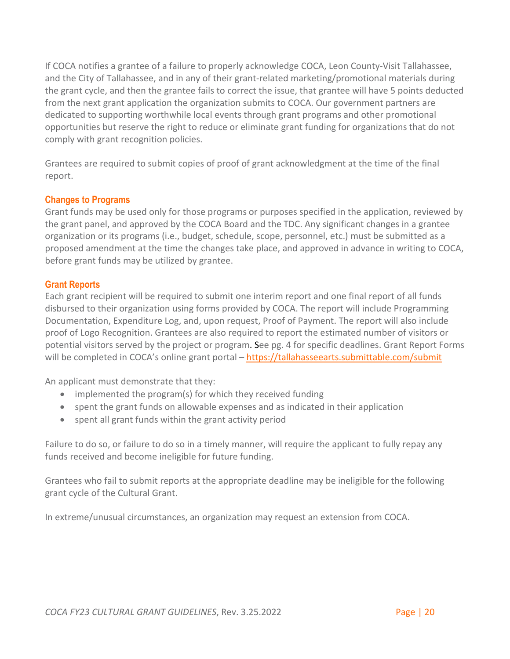If COCA notifies a grantee of a failure to properly acknowledge COCA, Leon County-Visit Tallahassee, and the City of Tallahassee, and in any of their grant-related marketing/promotional materials during the grant cycle, and then the grantee fails to correct the issue, that grantee will have 5 points deducted from the next grant application the organization submits to COCA. Our government partners are dedicated to supporting worthwhile local events through grant programs and other promotional opportunities but reserve the right to reduce or eliminate grant funding for organizations that do not comply with grant recognition policies.

Grantees are required to submit copies of proof of grant acknowledgment at the time of the final report.

#### <span id="page-19-0"></span>**Changes to Programs**

Grant funds may be used only for those programs or purposes specified in the application, reviewed by the grant panel, and approved by the COCA Board and the TDC. Any significant changes in a grantee organization or its programs (i.e., budget, schedule, scope, personnel, etc.) must be submitted as a proposed amendment at the time the changes take place, and approved in advance in writing to COCA, before grant funds may be utilized by grantee.

#### <span id="page-19-1"></span>**Grant Reports**

Each grant recipient will be required to submit one interim report and one final report of all funds disbursed to their organization using forms provided by COCA. The report will include Programming Documentation, Expenditure Log, and, upon request, Proof of Payment. The report will also include proof of Logo Recognition. Grantees are also required to report the estimated number of visitors or potential visitors served by the project or program. See pg. 4 for specific deadlines. Grant Report Forms will be completed in COCA's online grant portal –<https://tallahasseearts.submittable.com/submit>

An applicant must demonstrate that they:

- implemented the program(s) for which they received funding
- spent the grant funds on allowable expenses and as indicated in their application
- spent all grant funds within the grant activity period

Failure to do so, or failure to do so in a timely manner, will require the applicant to fully repay any funds received and become ineligible for future funding.

Grantees who fail to submit reports at the appropriate deadline may be ineligible for the following grant cycle of the Cultural Grant.

In extreme/unusual circumstances, an organization may request an extension from COCA.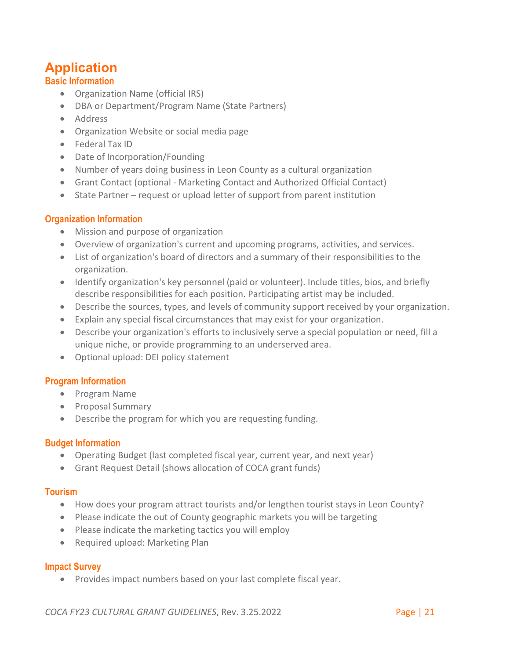# <span id="page-20-0"></span>**Application**

### <span id="page-20-1"></span>**Basic Information**

- Organization Name (official IRS)
- DBA or Department/Program Name (State Partners)
- Address
- Organization Website or social media page
- Federal Tax ID
- Date of Incorporation/Founding
- Number of years doing business in Leon County as a cultural organization
- Grant Contact (optional Marketing Contact and Authorized Official Contact)
- State Partner request or upload letter of support from parent institution

### <span id="page-20-2"></span>**Organization Information**

- Mission and purpose of organization
- Overview of organization's current and upcoming programs, activities, and services.
- List of organization's board of directors and a summary of their responsibilities to the organization.
- Identify organization's key personnel (paid or volunteer). Include titles, bios, and briefly describe responsibilities for each position. Participating artist may be included.
- Describe the sources, types, and levels of community support received by your organization.
- Explain any special fiscal circumstances that may exist for your organization.
- Describe your organization's efforts to inclusively serve a special population or need, fill a unique niche, or provide programming to an underserved area.
- Optional upload: DEI policy statement

### <span id="page-20-3"></span>**Program Information**

- Program Name
- Proposal Summary
- Describe the program for which you are requesting funding.

#### <span id="page-20-4"></span>**Budget Information**

- Operating Budget (last completed fiscal year, current year, and next year)
- Grant Request Detail (shows allocation of COCA grant funds)

#### <span id="page-20-5"></span>**Tourism**

- How does your program attract tourists and/or lengthen tourist stays in Leon County?
- Please indicate the out of County geographic markets you will be targeting
- Please indicate the marketing tactics you will employ
- Required upload: Marketing Plan

#### <span id="page-20-6"></span>**Impact Survey**

• Provides impact numbers based on your last complete fiscal year.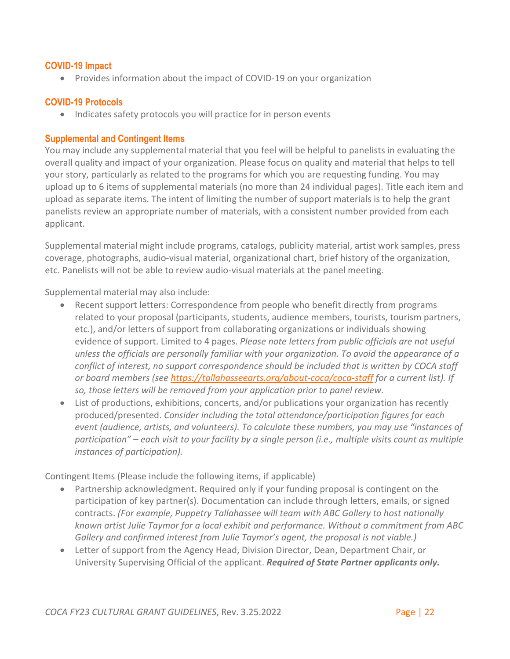#### <span id="page-21-0"></span>**COVID-19 Impact**

• Provides information about the impact of COVID-19 on your organization

#### <span id="page-21-1"></span>**COVID-19 Protocols**

• Indicates safety protocols you will practice for in person events

#### <span id="page-21-2"></span>**Supplemental and Contingent Items**

You may include any supplemental material that you feel will be helpful to panelists in evaluating the overall quality and impact of your organization. Please focus on quality and material that helps to tell your story, particularly as related to the programs for which you are requesting funding. You may upload up to 6 items of supplemental materials (no more than 24 individual pages). Title each item and upload as separate items. The intent of limiting the number of support materials is to help the grant panelists review an appropriate number of materials, with a consistent number provided from each applicant.

Supplemental material might include programs, catalogs, publicity material, artist work samples, press coverage, photographs, audio-visual material, organizational chart, brief history of the organization, etc. Panelists will not be able to review audio-visual materials at the panel meeting.

Supplemental material may also include:

- Recent support letters: Correspondence from people who benefit directly from programs related to your proposal (participants, students, audience members, tourists, tourism partners, etc.), and/or letters of support from collaborating organizations or individuals showing evidence of support. Limited to 4 pages. *Please note letters from public officials are not useful unless the officials are personally familiar with your organization. To avoid the appearance of a conflict of interest, no support correspondence should be included that is written by COCA staff or board members (see<https://tallahasseearts.org/about-coca/coca-staff> for a current list). If so, those letters will be removed from your application prior to panel review.*
- List of productions, exhibitions, concerts, and/or publications your organization has recently produced/presented. *Consider including the total attendance/participation figures for each event (audience, artists, and volunteers). To calculate these numbers, you may use "instances of participation" – each visit to your facility by a single person (i.e., multiple visits count as multiple instances of participation).*

Contingent Items (Please include the following items, if applicable)

- Partnership acknowledgment. Required only if your funding proposal is contingent on the participation of key partner(s). Documentation can include through letters, emails, or signed contracts. *(For example, Puppetry Tallahassee will team with ABC Gallery to host nationally known artist Julie Taymor for a local exhibit and performance. Without a commitment from ABC Gallery and confirmed interest from Julie Taymor's agent, the proposal is not viable.)*
- Letter of support from the Agency Head, Division Director, Dean, Department Chair, or University Supervising Official of the applicant. *Required of State Partner applicants only.*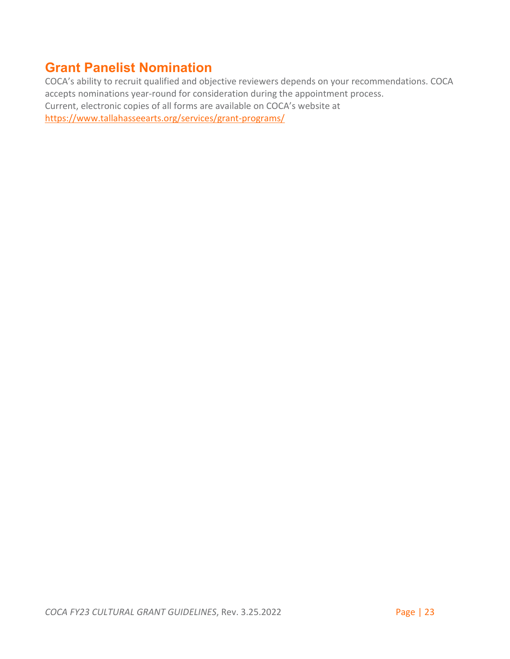### <span id="page-22-0"></span>**Grant Panelist Nomination**

COCA's ability to recruit qualified and objective reviewers depends on your recommendations. COCA accepts nominations year-round for consideration during the appointment process. Current, electronic copies of all forms are available on COCA's website at <https://www.tallahasseearts.org/services/grant-programs/>